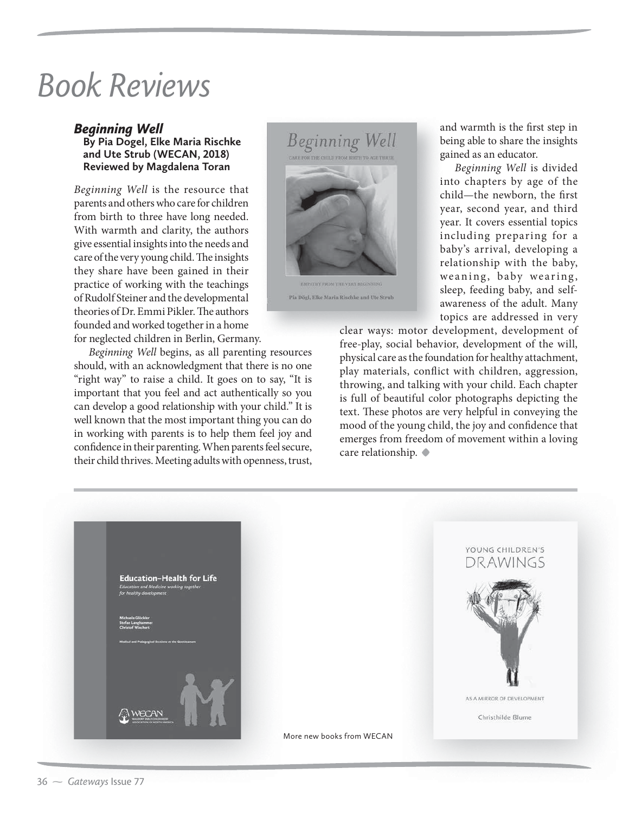## Book Reviews

## *Beginning Well*

**By Pia Dogel, Elke Maria Rischke and Ute Strub (WECAN, 2018) Reviewed by Magdalena Toran**

*Beginning Well* is the resource that parents and others who care for children from birth to three have long needed. With warmth and clarity, the authors give essential insights into the needs and care of the very young child. The insights they share have been gained in their practice of working with the teachings of Rudolf Steiner and the developmental theories of Dr. Emmi Pikler. The authors founded and worked together in a home

for neglected children in Berlin, Germany.

*Beginning Well* begins, as all parenting resources should, with an acknowledgment that there is no one "right way" to raise a child. It goes on to say, "It is important that you feel and act authentically so you can develop a good relationship with your child." It is well known that the most important thing you can do in working with parents is to help them feel joy and confidence in their parenting. When parents feel secure, their child thrives. Meeting adults with openness, trust,



and warmth is the first step in being able to share the insights gained as an educator.

*Beginning Well* is divided into chapters by age of the child—the newborn, the first year, second year, and third year. It covers essential topics including preparing for a baby's arrival, developing a relationship with the baby, weaning, baby wearing, sleep, feeding baby, and selfawareness of the adult. Many topics are addressed in very

clear ways: motor development, development of free-play, social behavior, development of the will, physical care as the foundation for healthy attachment, play materials, conflict with children, aggression, throwing, and talking with your child. Each chapter is full of beautiful color photographs depicting the text. These photos are very helpful in conveying the mood of the young child, the joy and confidence that emerges from freedom of movement within a loving care relationship. **•**

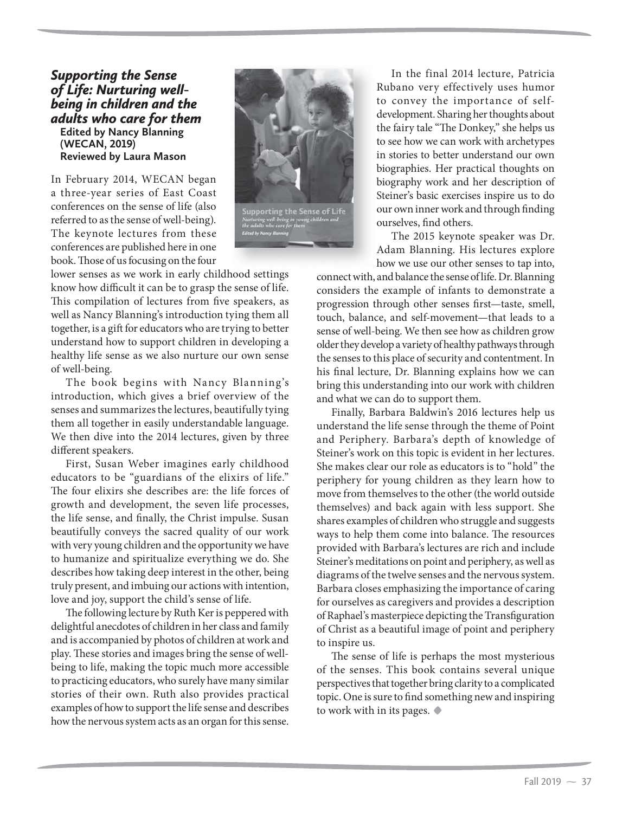## *Supporting the Sense of Life: Nurturing wellbeing in children and the adults who care for them* **Edited by Nancy Blanning (WECAN, 2019) Reviewed by Laura Mason**

In February 2014, WECAN began a three-year series of East Coast conferences on the sense of life (also referred to as the sense of well-being). The keynote lectures from these conferences are published here in one book. Those of us focusing on the four

lower senses as we work in early childhood settings know how difficult it can be to grasp the sense of life. This compilation of lectures from five speakers, as well as Nancy Blanning's introduction tying them all together, is a gift for educators who are trying to better understand how to support children in developing a healthy life sense as we also nurture our own sense of well-being.

The book begins with Nancy Blanning's introduction, which gives a brief overview of the senses and summarizes the lectures, beautifully tying them all together in easily understandable language. We then dive into the 2014 lectures, given by three different speakers.

First, Susan Weber imagines early childhood educators to be "guardians of the elixirs of life." The four elixirs she describes are: the life forces of growth and development, the seven life processes, the life sense, and finally, the Christ impulse. Susan beautifully conveys the sacred quality of our work with very young children and the opportunity we have to humanize and spiritualize everything we do. She describes how taking deep interest in the other, being truly present, and imbuing our actions with intention, love and joy, support the child's sense of life.

The following lecture by Ruth Ker is peppered with delightful anecdotes of children in her class and family and is accompanied by photos of children at work and play. These stories and images bring the sense of wellbeing to life, making the topic much more accessible to practicing educators, who surely have many similar stories of their own. Ruth also provides practical examples of how to support the life sense and describes how the nervous system acts as an organ for this sense.



In the final 2014 lecture, Patricia Rubano very effectively uses humor to convey the importance of selfdevelopment. Sharing her thoughts about the fairy tale "The Donkey," she helps us to see how we can work with archetypes in stories to better understand our own biographies. Her practical thoughts on biography work and her description of Steiner's basic exercises inspire us to do our own inner work and through finding ourselves, find others.

The 2015 keynote speaker was Dr. Adam Blanning. His lectures explore how we use our other senses to tap into,

connect with, and balance the sense of life. Dr. Blanning considers the example of infants to demonstrate a progression through other senses first—taste, smell, touch, balance, and self-movement—that leads to a sense of well-being. We then see how as children grow older they develop a variety of healthy pathways through the senses to this place of security and contentment. In his final lecture, Dr. Blanning explains how we can bring this understanding into our work with children and what we can do to support them.

Finally, Barbara Baldwin's 2016 lectures help us understand the life sense through the theme of Point and Periphery. Barbara's depth of knowledge of Steiner's work on this topic is evident in her lectures. She makes clear our role as educators is to "hold" the periphery for young children as they learn how to move from themselves to the other (the world outside themselves) and back again with less support. She shares examples of children who struggle and suggests ways to help them come into balance. The resources provided with Barbara's lectures are rich and include Steiner's meditations on point and periphery, as well as diagrams of the twelve senses and the nervous system. Barbara closes emphasizing the importance of caring for ourselves as caregivers and provides a description of Raphael's masterpiece depicting the Transfiguration of Christ as a beautiful image of point and periphery to inspire us.

The sense of life is perhaps the most mysterious of the senses. This book contains several unique perspectives that together bring clarity to a complicated topic. One is sure to find something new and inspiring to work with in its pages. **•**